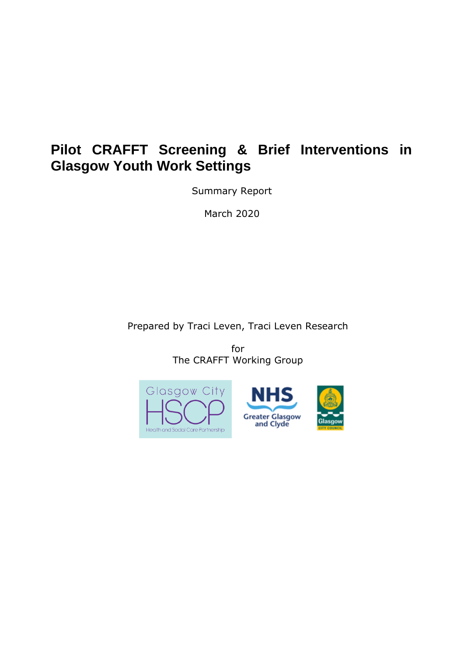# **Pilot CRAFFT Screening & Brief Interventions in Glasgow Youth Work Settings**

Summary Report

March 2020

Prepared by Traci Leven, Traci Leven Research

for The CRAFFT Working Group



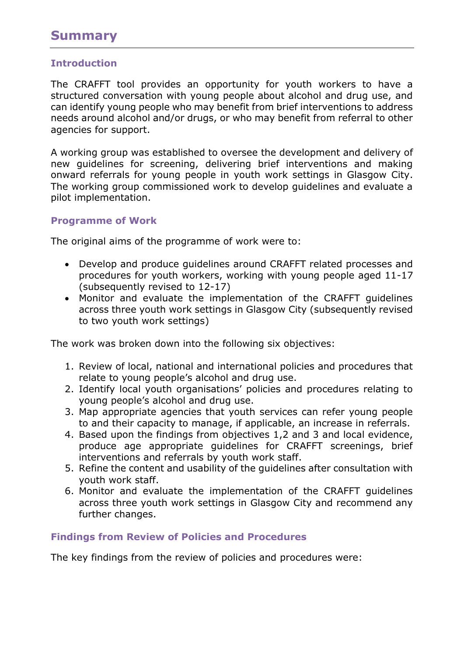# **Summary**

# **Introduction**

The CRAFFT tool provides an opportunity for youth workers to have a structured conversation with young people about alcohol and drug use, and can identify young people who may benefit from brief interventions to address needs around alcohol and/or drugs, or who may benefit from referral to other agencies for support.

A working group was established to oversee the development and delivery of new guidelines for screening, delivering brief interventions and making onward referrals for young people in youth work settings in Glasgow City. The working group commissioned work to develop guidelines and evaluate a pilot implementation.

#### **Programme of Work**

The original aims of the programme of work were to:

- Develop and produce guidelines around CRAFFT related processes and procedures for youth workers, working with young people aged 11-17 (subsequently revised to 12-17)
- Monitor and evaluate the implementation of the CRAFFT guidelines across three youth work settings in Glasgow City (subsequently revised to two youth work settings)

The work was broken down into the following six objectives:

- 1. Review of local, national and international policies and procedures that relate to young people's alcohol and drug use.
- 2. Identify local youth organisations' policies and procedures relating to young people's alcohol and drug use.
- 3. Map appropriate agencies that youth services can refer young people to and their capacity to manage, if applicable, an increase in referrals.
- 4. Based upon the findings from objectives 1,2 and 3 and local evidence, produce age appropriate guidelines for CRAFFT screenings, brief interventions and referrals by youth work staff.
- 5. Refine the content and usability of the guidelines after consultation with youth work staff.
- 6. Monitor and evaluate the implementation of the CRAFFT guidelines across three youth work settings in Glasgow City and recommend any further changes.

#### **Findings from Review of Policies and Procedures**

The key findings from the review of policies and procedures were: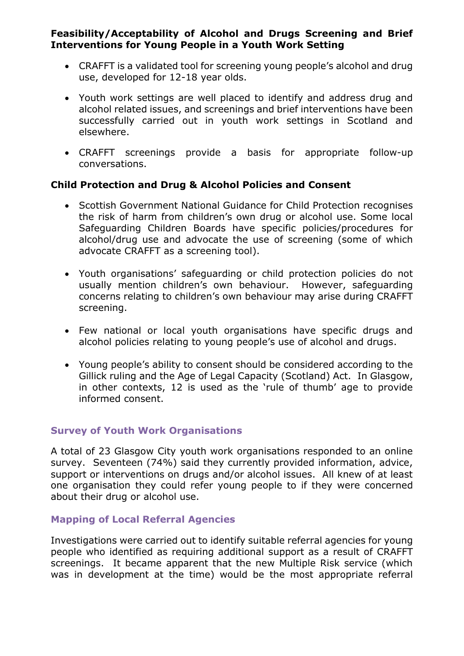# **Feasibility/Acceptability of Alcohol and Drugs Screening and Brief Interventions for Young People in a Youth Work Setting**

- CRAFFT is a validated tool for screening young people's alcohol and drug use, developed for 12-18 year olds.
- Youth work settings are well placed to identify and address drug and alcohol related issues, and screenings and brief interventions have been successfully carried out in youth work settings in Scotland and elsewhere.
- CRAFFT screenings provide a basis for appropriate follow-up conversations.

# **Child Protection and Drug & Alcohol Policies and Consent**

- Scottish Government National Guidance for Child Protection recognises the risk of harm from children's own drug or alcohol use. Some local Safeguarding Children Boards have specific policies/procedures for alcohol/drug use and advocate the use of screening (some of which advocate CRAFFT as a screening tool).
- Youth organisations' safeguarding or child protection policies do not usually mention children's own behaviour. However, safeguarding concerns relating to children's own behaviour may arise during CRAFFT screening.
- Few national or local youth organisations have specific drugs and alcohol policies relating to young people's use of alcohol and drugs.
- Young people's ability to consent should be considered according to the Gillick ruling and the Age of Legal Capacity (Scotland) Act. In Glasgow, in other contexts, 12 is used as the 'rule of thumb' age to provide informed consent.

#### **Survey of Youth Work Organisations**

A total of 23 Glasgow City youth work organisations responded to an online survey. Seventeen (74%) said they currently provided information, advice, support or interventions on drugs and/or alcohol issues. All knew of at least one organisation they could refer young people to if they were concerned about their drug or alcohol use.

#### **Mapping of Local Referral Agencies**

Investigations were carried out to identify suitable referral agencies for young people who identified as requiring additional support as a result of CRAFFT screenings. It became apparent that the new Multiple Risk service (which was in development at the time) would be the most appropriate referral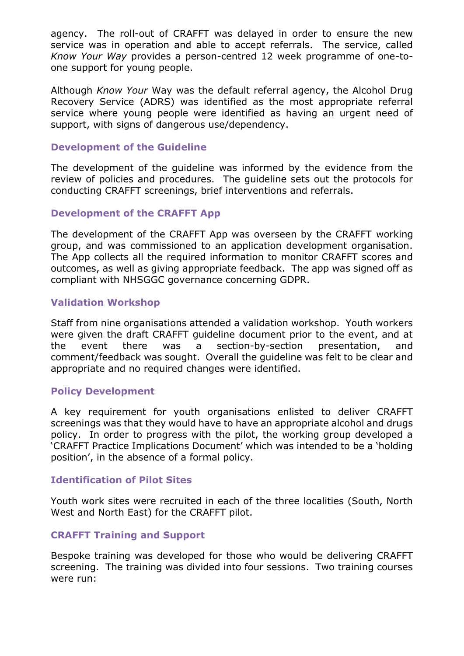agency. The roll-out of CRAFFT was delayed in order to ensure the new service was in operation and able to accept referrals. The service, called *Know Your Way* provides a person-centred 12 week programme of one-toone support for young people.

Although *Know Your* Way was the default referral agency, the Alcohol Drug Recovery Service (ADRS) was identified as the most appropriate referral service where young people were identified as having an urgent need of support, with signs of dangerous use/dependency.

#### **Development of the Guideline**

The development of the guideline was informed by the evidence from the review of policies and procedures. The guideline sets out the protocols for conducting CRAFFT screenings, brief interventions and referrals.

#### **Development of the CRAFFT App**

The development of the CRAFFT App was overseen by the CRAFFT working group, and was commissioned to an application development organisation. The App collects all the required information to monitor CRAFFT scores and outcomes, as well as giving appropriate feedback. The app was signed off as compliant with NHSGGC governance concerning GDPR.

#### **Validation Workshop**

Staff from nine organisations attended a validation workshop. Youth workers were given the draft CRAFFT guideline document prior to the event, and at the event there was a section-by-section presentation, and comment/feedback was sought. Overall the guideline was felt to be clear and appropriate and no required changes were identified.

#### **Policy Development**

A key requirement for youth organisations enlisted to deliver CRAFFT screenings was that they would have to have an appropriate alcohol and drugs policy. In order to progress with the pilot, the working group developed a 'CRAFFT Practice Implications Document' which was intended to be a 'holding position', in the absence of a formal policy.

#### **Identification of Pilot Sites**

Youth work sites were recruited in each of the three localities (South, North West and North East) for the CRAFFT pilot.

#### **CRAFFT Training and Support**

Bespoke training was developed for those who would be delivering CRAFFT screening. The training was divided into four sessions. Two training courses were run: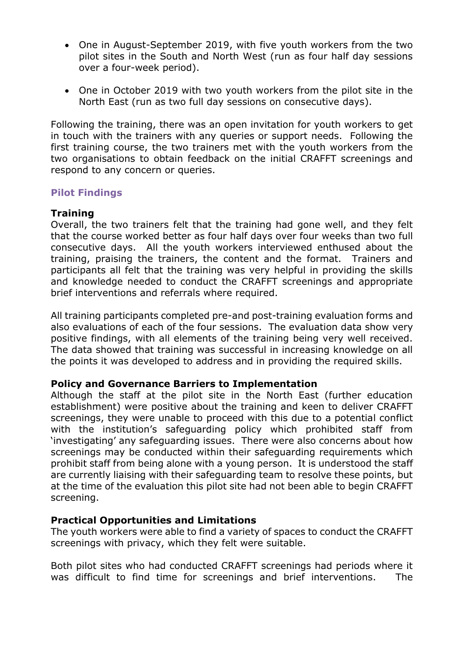- One in August-September 2019, with five youth workers from the two pilot sites in the South and North West (run as four half day sessions over a four-week period).
- One in October 2019 with two youth workers from the pilot site in the North East (run as two full day sessions on consecutive days).

Following the training, there was an open invitation for youth workers to get in touch with the trainers with any queries or support needs. Following the first training course, the two trainers met with the youth workers from the two organisations to obtain feedback on the initial CRAFFT screenings and respond to any concern or queries.

#### **Pilot Findings**

#### **Training**

Overall, the two trainers felt that the training had gone well, and they felt that the course worked better as four half days over four weeks than two full consecutive days. All the youth workers interviewed enthused about the training, praising the trainers, the content and the format. Trainers and participants all felt that the training was very helpful in providing the skills and knowledge needed to conduct the CRAFFT screenings and appropriate brief interventions and referrals where required.

All training participants completed pre-and post-training evaluation forms and also evaluations of each of the four sessions. The evaluation data show very positive findings, with all elements of the training being very well received. The data showed that training was successful in increasing knowledge on all the points it was developed to address and in providing the required skills.

#### **Policy and Governance Barriers to Implementation**

Although the staff at the pilot site in the North East (further education establishment) were positive about the training and keen to deliver CRAFFT screenings, they were unable to proceed with this due to a potential conflict with the institution's safeguarding policy which prohibited staff from 'investigating' any safeguarding issues. There were also concerns about how screenings may be conducted within their safeguarding requirements which prohibit staff from being alone with a young person. It is understood the staff are currently liaising with their safeguarding team to resolve these points, but at the time of the evaluation this pilot site had not been able to begin CRAFFT screening.

#### **Practical Opportunities and Limitations**

The youth workers were able to find a variety of spaces to conduct the CRAFFT screenings with privacy, which they felt were suitable.

Both pilot sites who had conducted CRAFFT screenings had periods where it was difficult to find time for screenings and brief interventions. The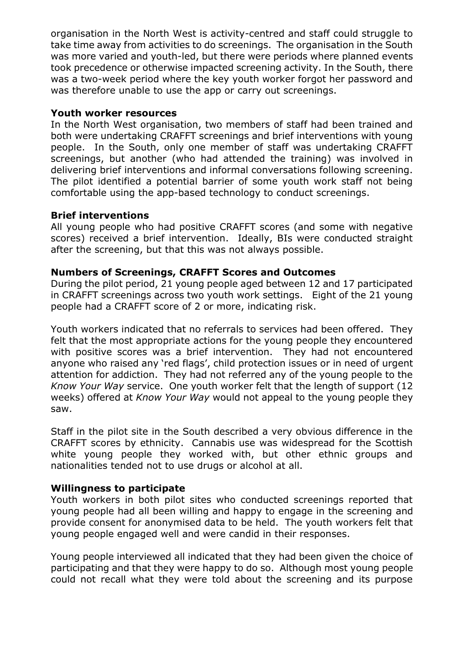organisation in the North West is activity-centred and staff could struggle to take time away from activities to do screenings. The organisation in the South was more varied and youth-led, but there were periods where planned events took precedence or otherwise impacted screening activity. In the South, there was a two-week period where the key youth worker forgot her password and was therefore unable to use the app or carry out screenings.

#### **Youth worker resources**

In the North West organisation, two members of staff had been trained and both were undertaking CRAFFT screenings and brief interventions with young people. In the South, only one member of staff was undertaking CRAFFT screenings, but another (who had attended the training) was involved in delivering brief interventions and informal conversations following screening. The pilot identified a potential barrier of some youth work staff not being comfortable using the app-based technology to conduct screenings.

# **Brief interventions**

All young people who had positive CRAFFT scores (and some with negative scores) received a brief intervention. Ideally, BIs were conducted straight after the screening, but that this was not always possible.

#### **Numbers of Screenings, CRAFFT Scores and Outcomes**

During the pilot period, 21 young people aged between 12 and 17 participated in CRAFFT screenings across two youth work settings. Eight of the 21 young people had a CRAFFT score of 2 or more, indicating risk.

Youth workers indicated that no referrals to services had been offered. They felt that the most appropriate actions for the young people they encountered with positive scores was a brief intervention. They had not encountered anyone who raised any 'red flags', child protection issues or in need of urgent attention for addiction. They had not referred any of the young people to the *Know Your Way* service. One youth worker felt that the length of support (12 weeks) offered at *Know Your Way* would not appeal to the young people they saw.

Staff in the pilot site in the South described a very obvious difference in the CRAFFT scores by ethnicity. Cannabis use was widespread for the Scottish white young people they worked with, but other ethnic groups and nationalities tended not to use drugs or alcohol at all.

#### **Willingness to participate**

Youth workers in both pilot sites who conducted screenings reported that young people had all been willing and happy to engage in the screening and provide consent for anonymised data to be held. The youth workers felt that young people engaged well and were candid in their responses.

Young people interviewed all indicated that they had been given the choice of participating and that they were happy to do so. Although most young people could not recall what they were told about the screening and its purpose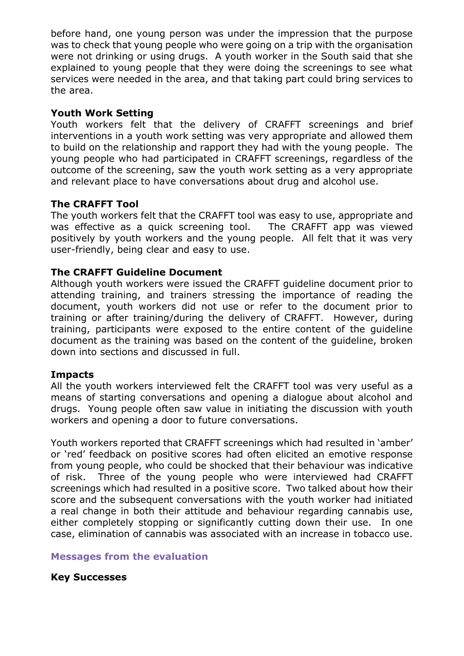before hand, one young person was under the impression that the purpose was to check that young people who were going on a trip with the organisation were not drinking or using drugs. A youth worker in the South said that she explained to young people that they were doing the screenings to see what services were needed in the area, and that taking part could bring services to the area.

#### **Youth Work Setting**

Youth workers felt that the delivery of CRAFFT screenings and brief interventions in a youth work setting was very appropriate and allowed them to build on the relationship and rapport they had with the young people. The young people who had participated in CRAFFT screenings, regardless of the outcome of the screening, saw the youth work setting as a very appropriate and relevant place to have conversations about drug and alcohol use.

# **The CRAFFT Tool**

The youth workers felt that the CRAFFT tool was easy to use, appropriate and was effective as a quick screening tool. The CRAFFT app was viewed positively by youth workers and the young people. All felt that it was very user-friendly, being clear and easy to use.

# **The CRAFFT Guideline Document**

Although youth workers were issued the CRAFFT guideline document prior to attending training, and trainers stressing the importance of reading the document, youth workers did not use or refer to the document prior to training or after training/during the delivery of CRAFFT. However, during training, participants were exposed to the entire content of the guideline document as the training was based on the content of the guideline, broken down into sections and discussed in full.

#### **Impacts**

All the youth workers interviewed felt the CRAFFT tool was very useful as a means of starting conversations and opening a dialogue about alcohol and drugs. Young people often saw value in initiating the discussion with youth workers and opening a door to future conversations.

Youth workers reported that CRAFFT screenings which had resulted in 'amber' or 'red' feedback on positive scores had often elicited an emotive response from young people, who could be shocked that their behaviour was indicative of risk. Three of the young people who were interviewed had CRAFFT screenings which had resulted in a positive score. Two talked about how their score and the subsequent conversations with the youth worker had initiated a real change in both their attitude and behaviour regarding cannabis use, either completely stopping or significantly cutting down their use. In one case, elimination of cannabis was associated with an increase in tobacco use.

# **Messages from the evaluation**

# **Key Successes**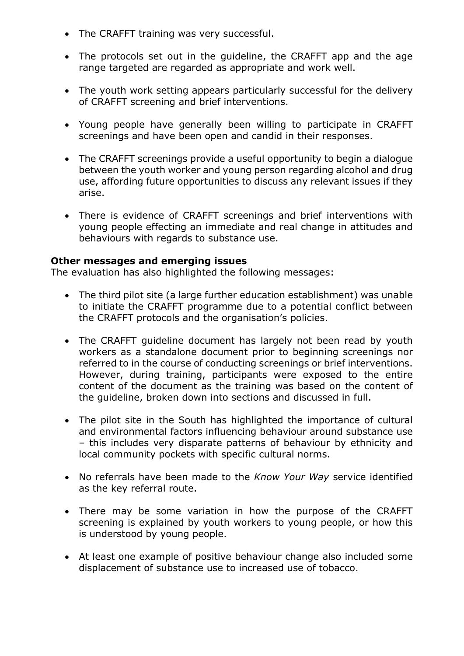- The CRAFFT training was very successful.
- The protocols set out in the guideline, the CRAFFT app and the age range targeted are regarded as appropriate and work well.
- The youth work setting appears particularly successful for the delivery of CRAFFT screening and brief interventions.
- Young people have generally been willing to participate in CRAFFT screenings and have been open and candid in their responses.
- The CRAFFT screenings provide a useful opportunity to begin a dialogue between the youth worker and young person regarding alcohol and drug use, affording future opportunities to discuss any relevant issues if they arise.
- There is evidence of CRAFFT screenings and brief interventions with young people effecting an immediate and real change in attitudes and behaviours with regards to substance use.

#### **Other messages and emerging issues**

The evaluation has also highlighted the following messages:

- The third pilot site (a large further education establishment) was unable to initiate the CRAFFT programme due to a potential conflict between the CRAFFT protocols and the organisation's policies.
- The CRAFFT guideline document has largely not been read by youth workers as a standalone document prior to beginning screenings nor referred to in the course of conducting screenings or brief interventions. However, during training, participants were exposed to the entire content of the document as the training was based on the content of the guideline, broken down into sections and discussed in full.
- The pilot site in the South has highlighted the importance of cultural and environmental factors influencing behaviour around substance use – this includes very disparate patterns of behaviour by ethnicity and local community pockets with specific cultural norms.
- No referrals have been made to the *Know Your Way* service identified as the key referral route.
- There may be some variation in how the purpose of the CRAFFT screening is explained by youth workers to young people, or how this is understood by young people.
- At least one example of positive behaviour change also included some displacement of substance use to increased use of tobacco.